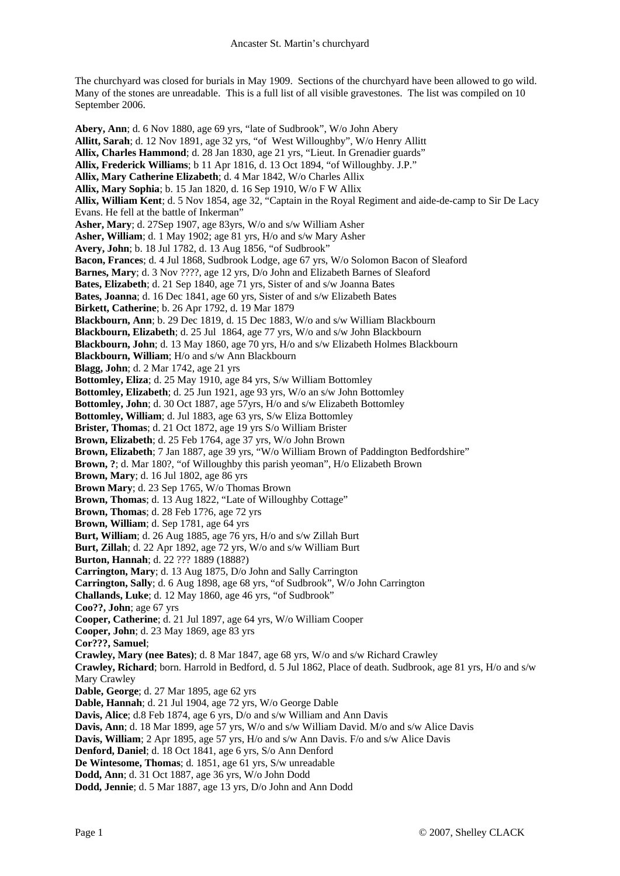The churchyard was closed for burials in May 1909. Sections of the churchyard have been allowed to go wild. Many of the stones are unreadable. This is a full list of all visible gravestones. The list was compiled on 10 September 2006.

**Abery, Ann**; d. 6 Nov 1880, age 69 yrs, "late of Sudbrook", W/o John Abery **Allitt, Sarah**; d. 12 Nov 1891, age 32 yrs, "of West Willoughby", W/o Henry Allitt **Allix, Charles Hammond**; d. 28 Jan 1830, age 21 yrs, "Lieut. In Grenadier guards" **Allix, Frederick Williams**; b 11 Apr 1816, d. 13 Oct 1894, "of Willoughby. J.P." **Allix, Mary Catherine Elizabeth**; d. 4 Mar 1842, W/o Charles Allix **Allix, Mary Sophia**; b. 15 Jan 1820, d. 16 Sep 1910, W/o F W Allix **Allix, William Kent**; d. 5 Nov 1854, age 32, "Captain in the Royal Regiment and aide-de-camp to Sir De Lacy Evans. He fell at the battle of Inkerman" **Asher, Mary**; d. 27Sep 1907, age 83yrs, W/o and s/w William Asher **Asher, William**; d. 1 May 1902; age 81 yrs, H/o and s/w Mary Asher **Avery, John**; b. 18 Jul 1782, d. 13 Aug 1856, "of Sudbrook" **Bacon, Frances**; d. 4 Jul 1868, Sudbrook Lodge, age 67 yrs, W/o Solomon Bacon of Sleaford **Barnes, Mary**; d. 3 Nov ????, age 12 yrs, D/o John and Elizabeth Barnes of Sleaford **Bates, Elizabeth**; d. 21 Sep 1840, age 71 yrs, Sister of and s/w Joanna Bates **Bates, Joanna**; d. 16 Dec 1841, age 60 yrs, Sister of and s/w Elizabeth Bates **Birkett, Catherine**; b. 26 Apr 1792, d. 19 Mar 1879 **Blackbourn, Ann**; b. 29 Dec 1819, d. 15 Dec 1883, W/o and s/w William Blackbourn **Blackbourn, Elizabeth**; d. 25 Jul 1864, age 77 yrs, W/o and s/w John Blackbourn **Blackbourn, John**; d. 13 May 1860, age 70 yrs, H/o and s/w Elizabeth Holmes Blackbourn **Blackbourn, William**; H/o and s/w Ann Blackbourn **Blagg, John**; d. 2 Mar 1742, age 21 yrs **Bottomley, Eliza**; d. 25 May 1910, age 84 yrs, S/w William Bottomley **Bottomley, Elizabeth**; d. 25 Jun 1921, age 93 yrs, W/o an s/w John Bottomley **Bottomley, John**; d. 30 Oct 1887, age 57yrs, H/o and s/w Elizabeth Bottomley **Bottomley, William**; d. Jul 1883, age 63 yrs, S/w Eliza Bottomley **Brister, Thomas**; d. 21 Oct 1872, age 19 yrs S/o William Brister **Brown, Elizabeth**; d. 25 Feb 1764, age 37 yrs, W/o John Brown **Brown, Elizabeth**; 7 Jan 1887, age 39 yrs, "W/o William Brown of Paddington Bedfordshire" **Brown, ?**; d. Mar 180?, "of Willoughby this parish yeoman", H/o Elizabeth Brown **Brown, Mary**; d. 16 Jul 1802, age 86 yrs **Brown Mary**; d. 23 Sep 1765, W/o Thomas Brown **Brown, Thomas**; d. 13 Aug 1822, "Late of Willoughby Cottage" **Brown, Thomas**; d. 28 Feb 17?6, age 72 yrs **Brown, William**; d. Sep 1781, age 64 yrs **Burt, William**; d. 26 Aug 1885, age 76 yrs, H/o and s/w Zillah Burt **Burt, Zillah**; d. 22 Apr 1892, age 72 yrs, W/o and s/w William Burt **Burton, Hannah**; d. 22 ??? 1889 (1888?) **Carrington, Mary**; d. 13 Aug 1875, D/o John and Sally Carrington **Carrington, Sally**; d. 6 Aug 1898, age 68 yrs, "of Sudbrook", W/o John Carrington **Challands, Luke**; d. 12 May 1860, age 46 yrs, "of Sudbrook" **Coo??, John**; age 67 yrs **Cooper, Catherine**; d. 21 Jul 1897, age 64 yrs, W/o William Cooper **Cooper, John**; d. 23 May 1869, age 83 yrs **Cor???, Samuel**; **Crawley, Mary (nee Bates)**; d. 8 Mar 1847, age 68 yrs, W/o and s/w Richard Crawley **Crawley, Richard**; born. Harrold in Bedford, d. 5 Jul 1862, Place of death. Sudbrook, age 81 yrs, H/o and s/w Mary Crawley **Dable, George**; d. 27 Mar 1895, age 62 yrs **Dable, Hannah**; d. 21 Jul 1904, age 72 yrs, W/o George Dable **Davis, Alice**; d.8 Feb 1874, age 6 yrs, D/o and s/w William and Ann Davis **Davis, Ann**; d. 18 Mar 1899, age 57 yrs, W/o and s/w William David. M/o and s/w Alice Davis **Davis, William**; 2 Apr 1895, age 57 yrs, H/o and s/w Ann Davis. F/o and s/w Alice Davis **Denford, Daniel**; d. 18 Oct 1841, age 6 yrs, S/o Ann Denford **De Wintesome, Thomas**; d. 1851, age 61 yrs, S/w unreadable

- **Dodd, Ann**; d. 31 Oct 1887, age 36 yrs, W/o John Dodd
- **Dodd, Jennie**; d. 5 Mar 1887, age 13 yrs, D/o John and Ann Dodd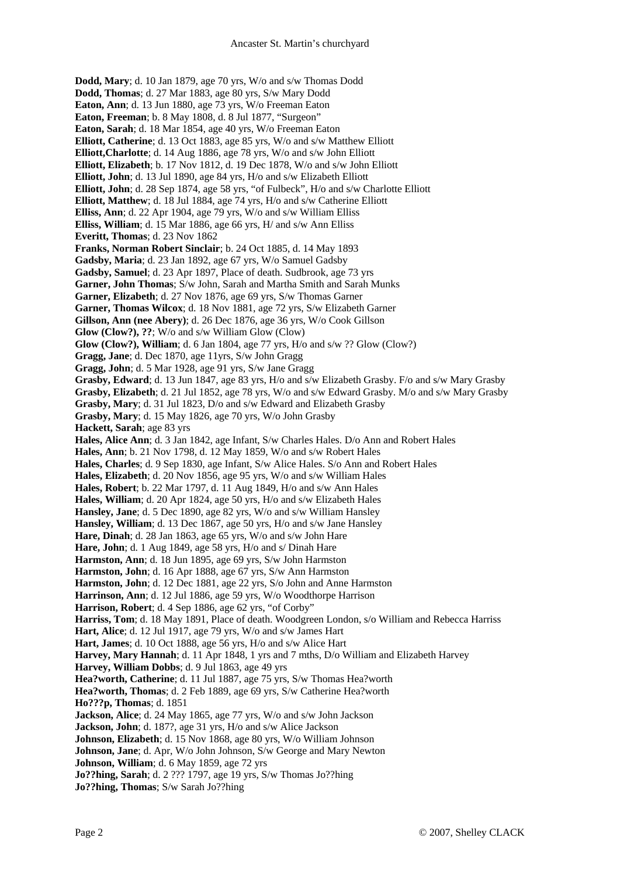**Dodd, Mary**; d. 10 Jan 1879, age 70 yrs, W/o and s/w Thomas Dodd **Dodd, Thomas**; d. 27 Mar 1883, age 80 yrs, S/w Mary Dodd **Eaton, Ann**; d. 13 Jun 1880, age 73 yrs, W/o Freeman Eaton **Eaton, Freeman**; b. 8 May 1808, d. 8 Jul 1877, "Surgeon" **Eaton, Sarah**; d. 18 Mar 1854, age 40 yrs, W/o Freeman Eaton **Elliott, Catherine**; d. 13 Oct 1883, age 85 yrs, W/o and s/w Matthew Elliott **Elliott,Charlotte**; d. 14 Aug 1886, age 78 yrs, W/o and s/w John Elliott **Elliott, Elizabeth**; b. 17 Nov 1812, d. 19 Dec 1878, W/o and s/w John Elliott **Elliott, John**; d. 13 Jul 1890, age 84 yrs, H/o and s/w Elizabeth Elliott **Elliott, John**; d. 28 Sep 1874, age 58 yrs, "of Fulbeck", H/o and s/w Charlotte Elliott **Elliott, Matthew**; d. 18 Jul 1884, age 74 yrs, H/o and s/w Catherine Elliott **Elliss, Ann**; d. 22 Apr 1904, age 79 yrs, W/o and s/w William Elliss **Elliss, William**; d. 15 Mar 1886, age 66 yrs, H/ and s/w Ann Elliss **Everitt, Thomas**; d. 23 Nov 1862 **Franks, Norman Robert Sinclair**; b. 24 Oct 1885, d. 14 May 1893 **Gadsby, Maria**; d. 23 Jan 1892, age 67 yrs, W/o Samuel Gadsby **Gadsby, Samuel**; d. 23 Apr 1897, Place of death. Sudbrook, age 73 yrs **Garner, John Thomas**; S/w John, Sarah and Martha Smith and Sarah Munks **Garner, Elizabeth**; d. 27 Nov 1876, age 69 yrs, S/w Thomas Garner **Garner, Thomas Wilcox**; d. 18 Nov 1881, age 72 yrs, S/w Elizabeth Garner **Gillson, Ann (nee Abery)**; d. 26 Dec 1876, age 36 yrs, W/o Cook Gillson **Glow (Clow?), ??**; W/o and s/w William Glow (Clow) **Glow (Clow?), William**; d. 6 Jan 1804, age 77 yrs, H/o and s/w ?? Glow (Clow?) **Gragg, Jane**; d. Dec 1870, age 11yrs, S/w John Gragg **Gragg, John**; d. 5 Mar 1928, age 91 yrs, S/w Jane Gragg **Grasby, Edward**; d. 13 Jun 1847, age 83 yrs, H/o and s/w Elizabeth Grasby. F/o and s/w Mary Grasby **Grasby, Elizabeth**; d. 21 Jul 1852, age 78 yrs, W/o and s/w Edward Grasby. M/o and s/w Mary Grasby **Grasby, Mary**; d. 31 Jul 1823, D/o and s/w Edward and Elizabeth Grasby **Grasby, Mary**; d. 15 May 1826, age 70 yrs, W/o John Grasby **Hackett, Sarah**; age 83 yrs **Hales, Alice Ann**; d. 3 Jan 1842, age Infant, S/w Charles Hales. D/o Ann and Robert Hales **Hales, Ann**; b. 21 Nov 1798, d. 12 May 1859, W/o and s/w Robert Hales **Hales, Charles**; d. 9 Sep 1830, age Infant, S/w Alice Hales. S/o Ann and Robert Hales **Hales, Elizabeth**; d. 20 Nov 1856, age 95 yrs, W/o and s/w William Hales **Hales, Robert**; b. 22 Mar 1797, d. 11 Aug 1849, H/o and s/w Ann Hales **Hales, William**; d. 20 Apr 1824, age 50 yrs, H/o and s/w Elizabeth Hales **Hansley, Jane**; d. 5 Dec 1890, age 82 yrs, W/o and s/w William Hansley **Hansley, William**; d. 13 Dec 1867, age 50 yrs, H/o and s/w Jane Hansley **Hare, Dinah**; d. 28 Jan 1863, age 65 yrs, W/o and s/w John Hare **Hare, John**; d. 1 Aug 1849, age 58 yrs, H/o and s/ Dinah Hare **Harmston, Ann**; d. 18 Jun 1895, age 69 yrs, S/w John Harmston **Harmston, John**; d. 16 Apr 1888, age 67 yrs, S/w Ann Harmston **Harmston, John**; d. 12 Dec 1881, age 22 yrs, S/o John and Anne Harmston **Harrinson, Ann**; d. 12 Jul 1886, age 59 yrs, W/o Woodthorpe Harrison **Harrison, Robert**; d. 4 Sep 1886, age 62 yrs, "of Corby" **Harriss, Tom**; d. 18 May 1891, Place of death. Woodgreen London, s/o William and Rebecca Harriss **Hart, Alice**; d. 12 Jul 1917, age 79 yrs, W/o and s/w James Hart **Hart, James**; d. 10 Oct 1888, age 56 yrs, H/o and s/w Alice Hart **Harvey, Mary Hannah**; d. 11 Apr 1848, 1 yrs and 7 mths, D/o William and Elizabeth Harvey **Harvey, William Dobbs**; d. 9 Jul 1863, age 49 yrs **Hea?worth, Catherine**; d. 11 Jul 1887, age 75 yrs, S/w Thomas Hea?worth **Hea?worth, Thomas**; d. 2 Feb 1889, age 69 yrs, S/w Catherine Hea?worth **Ho???p, Thomas**; d. 1851 **Jackson, Alice**; d. 24 May 1865, age 77 yrs, W/o and s/w John Jackson **Jackson, John**; d. 187?, age 31 yrs, H/o and s/w Alice Jackson **Johnson, Elizabeth**; d. 15 Nov 1868, age 80 yrs, W/o William Johnson **Johnson, Jane**; d. Apr, W/o John Johnson, S/w George and Mary Newton **Johnson, William**; d. 6 May 1859, age 72 yrs **Jo??hing, Sarah**; d. 2 ??? 1797, age 19 yrs, S/w Thomas Jo??hing

**Jo??hing, Thomas**; S/w Sarah Jo??hing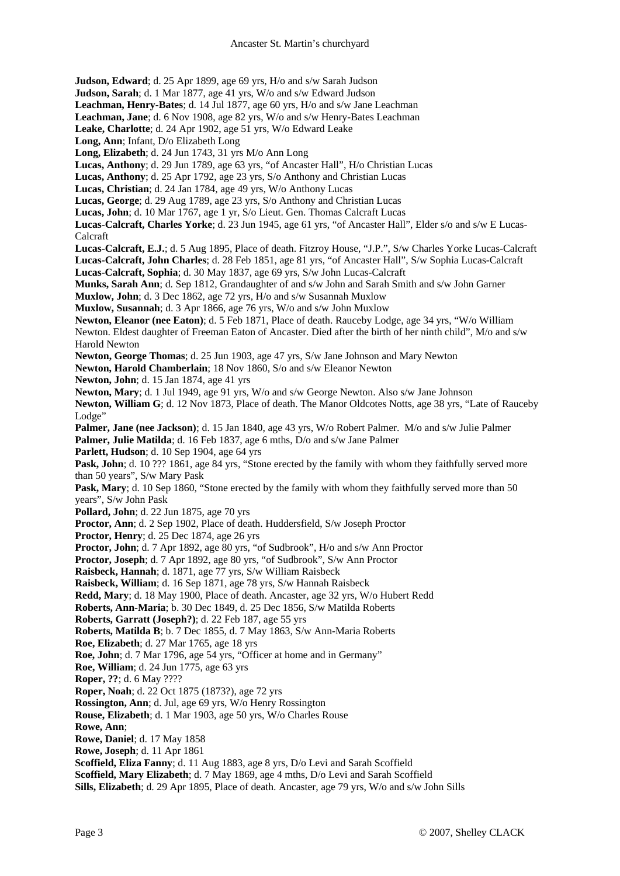**Judson, Edward**; d. 25 Apr 1899, age 69 yrs, H/o and s/w Sarah Judson

**Judson, Sarah**; d. 1 Mar 1877, age 41 yrs, W/o and s/w Edward Judson

**Leachman, Henry-Bates**; d. 14 Jul 1877, age 60 yrs, H/o and s/w Jane Leachman

**Leachman, Jane**; d. 6 Nov 1908, age 82 yrs, W/o and s/w Henry-Bates Leachman

**Leake, Charlotte**; d. 24 Apr 1902, age 51 yrs, W/o Edward Leake

**Long, Ann**; Infant, D/o Elizabeth Long

**Long, Elizabeth**; d. 24 Jun 1743, 31 yrs M/o Ann Long

**Lucas, Anthony**; d. 29 Jun 1789, age 63 yrs, "of Ancaster Hall", H/o Christian Lucas

**Lucas, Anthony**; d. 25 Apr 1792, age 23 yrs, S/o Anthony and Christian Lucas

**Lucas, Christian**; d. 24 Jan 1784, age 49 yrs, W/o Anthony Lucas

**Lucas, George**; d. 29 Aug 1789, age 23 yrs, S/o Anthony and Christian Lucas

**Lucas, John**; d. 10 Mar 1767, age 1 yr, S/o Lieut. Gen. Thomas Calcraft Lucas

**Lucas-Calcraft, Charles Yorke**; d. 23 Jun 1945, age 61 yrs, "of Ancaster Hall", Elder s/o and s/w E Lucas-Calcraft

**Lucas-Calcraft, E.J.**; d. 5 Aug 1895, Place of death. Fitzroy House, "J.P.", S/w Charles Yorke Lucas-Calcraft **Lucas-Calcraft, John Charles**; d. 28 Feb 1851, age 81 yrs, "of Ancaster Hall", S/w Sophia Lucas-Calcraft

**Lucas-Calcraft, Sophia**; d. 30 May 1837, age 69 yrs, S/w John Lucas-Calcraft

**Munks, Sarah Ann**; d. Sep 1812, Grandaughter of and s/w John and Sarah Smith and s/w John Garner

**Muxlow, John**; d. 3 Dec 1862, age 72 yrs, H/o and s/w Susannah Muxlow **Muxlow, Susannah**; d. 3 Apr 1866, age 76 yrs, W/o and s/w John Muxlow

**Newton, Eleanor (nee Eaton)**; d. 5 Feb 1871, Place of death. Rauceby Lodge, age 34 yrs, "W/o William Newton. Eldest daughter of Freeman Eaton of Ancaster. Died after the birth of her ninth child", M/o and s/w Harold Newton

**Newton, George Thomas**; d. 25 Jun 1903, age 47 yrs, S/w Jane Johnson and Mary Newton

**Newton, Harold Chamberlain**; 18 Nov 1860, S/o and s/w Eleanor Newton

**Newton, John**; d. 15 Jan 1874, age 41 yrs

**Newton, Mary**; d. 1 Jul 1949, age 91 yrs, W/o and s/w George Newton. Also s/w Jane Johnson

**Newton, William G**; d. 12 Nov 1873, Place of death. The Manor Oldcotes Notts, age 38 yrs, "Late of Rauceby Lodge"

**Palmer, Jane (nee Jackson)**; d. 15 Jan 1840, age 43 yrs, W/o Robert Palmer. M/o and s/w Julie Palmer **Palmer, Julie Matilda**; d. 16 Feb 1837, age 6 mths, D/o and s/w Jane Palmer

**Parlett, Hudson**; d. 10 Sep 1904, age 64 yrs

**Pask, John**; d. 10 ??? 1861, age 84 yrs, "Stone erected by the family with whom they faithfully served more than 50 years", S/w Mary Pask

**Pask, Mary**; d. 10 Sep 1860, "Stone erected by the family with whom they faithfully served more than 50 years", S/w John Pask

**Pollard, John**; d. 22 Jun 1875, age 70 yrs

**Proctor, Ann**; d. 2 Sep 1902, Place of death. Huddersfield, S/w Joseph Proctor

**Proctor, Henry**; d. 25 Dec 1874, age 26 yrs

**Proctor, John**; d. 7 Apr 1892, age 80 yrs, "of Sudbrook", H/o and s/w Ann Proctor

**Proctor, Joseph**; d. 7 Apr 1892, age 80 yrs, "of Sudbrook", S/w Ann Proctor

**Raisbeck, Hannah**; d. 1871, age 77 yrs, S/w William Raisbeck

**Raisbeck, William**; d. 16 Sep 1871, age 78 yrs, S/w Hannah Raisbeck

**Redd, Mary**; d. 18 May 1900, Place of death. Ancaster, age 32 yrs, W/o Hubert Redd

**Roberts, Ann-Maria**; b. 30 Dec 1849, d. 25 Dec 1856, S/w Matilda Roberts

**Roberts, Garratt (Joseph?)**; d. 22 Feb 187, age 55 yrs

**Roberts, Matilda B**; b. 7 Dec 1855, d. 7 May 1863, S/w Ann-Maria Roberts

**Roe, Elizabeth**; d. 27 Mar 1765, age 18 yrs

**Roe, John**; d. 7 Mar 1796, age 54 yrs, "Officer at home and in Germany"

**Roe, William**; d. 24 Jun 1775, age 63 yrs

**Roper, ??**; d. 6 May ????

**Roper, Noah**; d. 22 Oct 1875 (1873?), age 72 yrs

**Rossington, Ann**; d. Jul, age 69 yrs, W/o Henry Rossington

**Rouse, Elizabeth**; d. 1 Mar 1903, age 50 yrs, W/o Charles Rouse

**Rowe, Ann**;

**Rowe, Daniel**; d. 17 May 1858

**Rowe, Joseph**; d. 11 Apr 1861

**Scoffield, Eliza Fanny**; d. 11 Aug 1883, age 8 yrs, D/o Levi and Sarah Scoffield

**Scoffield, Mary Elizabeth**; d. 7 May 1869, age 4 mths, D/o Levi and Sarah Scoffield

**Sills, Elizabeth**; d. 29 Apr 1895, Place of death. Ancaster, age 79 yrs, W/o and s/w John Sills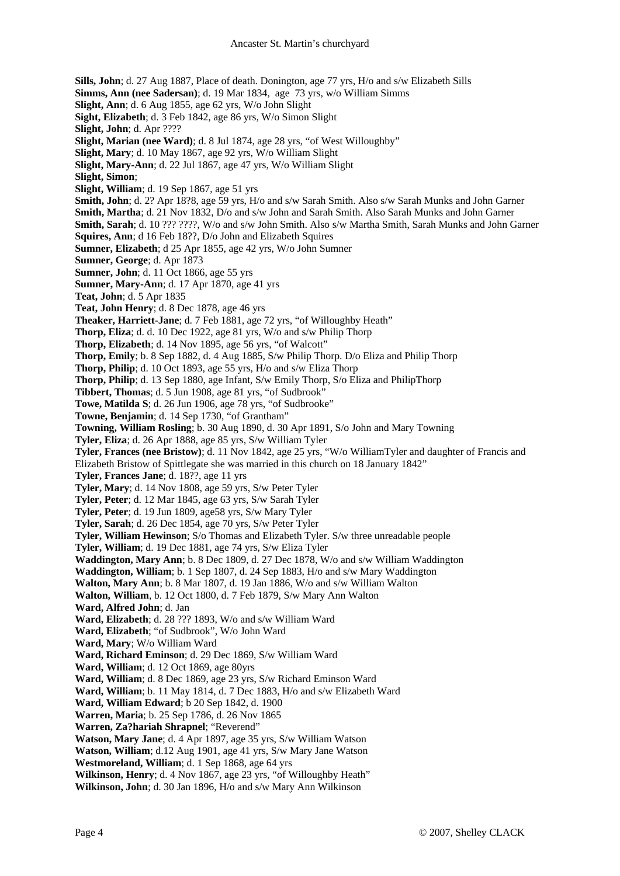**Sills, John**; d. 27 Aug 1887, Place of death. Donington, age 77 yrs, H/o and s/w Elizabeth Sills **Simms, Ann (nee Sadersan)**; d. 19 Mar 1834, age 73 yrs, w/o William Simms **Slight, Ann**; d. 6 Aug 1855, age 62 yrs, W/o John Slight **Sight, Elizabeth**; d. 3 Feb 1842, age 86 yrs, W/o Simon Slight **Slight, John**; d. Apr ???? **Slight, Marian (nee Ward)**; d. 8 Jul 1874, age 28 yrs, "of West Willoughby" **Slight, Mary**; d. 10 May 1867, age 92 yrs, W/o William Slight **Slight, Mary-Ann**; d. 22 Jul 1867, age 47 yrs, W/o William Slight **Slight, Simon**; **Slight, William**; d. 19 Sep 1867, age 51 yrs **Smith, John**; d. 2? Apr 18?8, age 59 yrs, H/o and s/w Sarah Smith. Also s/w Sarah Munks and John Garner **Smith, Martha**; d. 21 Nov 1832, D/o and s/w John and Sarah Smith. Also Sarah Munks and John Garner **Smith, Sarah**; d. 10 ??? ????, W/o and s/w John Smith. Also s/w Martha Smith, Sarah Munks and John Garner **Squires, Ann**; d 16 Feb 18??, D/o John and Elizabeth Squires **Sumner, Elizabeth**; d 25 Apr 1855, age 42 yrs, W/o John Sumner **Sumner, George**; d. Apr 1873 **Sumner, John**; d. 11 Oct 1866, age 55 yrs **Sumner, Mary-Ann**; d. 17 Apr 1870, age 41 yrs **Teat, John**; d. 5 Apr 1835 **Teat, John Henry**; d. 8 Dec 1878, age 46 yrs **Theaker, Harriett-Jane**; d. 7 Feb 1881, age 72 yrs, "of Willoughby Heath" **Thorp, Eliza**; d. d. 10 Dec 1922, age 81 yrs, W/o and s/w Philip Thorp **Thorp, Elizabeth**; d. 14 Nov 1895, age 56 yrs, "of Walcott" **Thorp, Emily**; b. 8 Sep 1882, d. 4 Aug 1885, S/w Philip Thorp. D/o Eliza and Philip Thorp **Thorp, Philip**; d. 10 Oct 1893, age 55 yrs, H/o and s/w Eliza Thorp **Thorp, Philip**; d. 13 Sep 1880, age Infant, S/w Emily Thorp, S/o Eliza and PhilipThorp **Tibbert, Thomas**; d. 5 Jun 1908, age 81 yrs, "of Sudbrook" **Towe, Matilda S**; d. 26 Jun 1906, age 78 yrs, "of Sudbrooke" **Towne, Benjamin**; d. 14 Sep 1730, "of Grantham" **Towning, William Rosling**; b. 30 Aug 1890, d. 30 Apr 1891, S/o John and Mary Towning **Tyler, Eliza**; d. 26 Apr 1888, age 85 yrs, S/w William Tyler **Tyler, Frances (nee Bristow)**; d. 11 Nov 1842, age 25 yrs, "W/o WilliamTyler and daughter of Francis and Elizabeth Bristow of Spittlegate she was married in this church on 18 January 1842" **Tyler, Frances Jane**; d. 18??, age 11 yrs **Tyler, Mary**; d. 14 Nov 1808, age 59 yrs, S/w Peter Tyler **Tyler, Peter**; d. 12 Mar 1845, age 63 yrs, S/w Sarah Tyler **Tyler, Peter**; d. 19 Jun 1809, age58 yrs, S/w Mary Tyler **Tyler, Sarah**; d. 26 Dec 1854, age 70 yrs, S/w Peter Tyler **Tyler, William Hewinson**; S/o Thomas and Elizabeth Tyler. S/w three unreadable people **Tyler, William**; d. 19 Dec 1881, age 74 yrs, S/w Eliza Tyler **Waddington, Mary Ann**; b. 8 Dec 1809, d. 27 Dec 1878, W/o and s/w William Waddington **Waddington, William**; b. 1 Sep 1807, d. 24 Sep 1883, H/o and s/w Mary Waddington **Walton, Mary Ann**; b. 8 Mar 1807, d. 19 Jan 1886, W/o and s/w William Walton **Walton, William**, b. 12 Oct 1800, d. 7 Feb 1879, S/w Mary Ann Walton **Ward, Alfred John**; d. Jan **Ward, Elizabeth**; d. 28 ??? 1893, W/o and s/w William Ward **Ward, Elizabeth**; "of Sudbrook", W/o John Ward **Ward, Mary**; W/o William Ward **Ward, Richard Eminson**; d. 29 Dec 1869, S/w William Ward **Ward, William**; d. 12 Oct 1869, age 80yrs **Ward, William**; d. 8 Dec 1869, age 23 yrs, S/w Richard Eminson Ward **Ward, William**; b. 11 May 1814, d. 7 Dec 1883, H/o and s/w Elizabeth Ward **Ward, William Edward**; b 20 Sep 1842, d. 1900 **Warren, Maria**; b. 25 Sep 1786, d. 26 Nov 1865 **Warren, Za?hariah Shrapnel**; "Reverend" **Watson, Mary Jane**; d. 4 Apr 1897, age 35 yrs, S/w William Watson **Watson, William**; d.12 Aug 1901, age 41 yrs, S/w Mary Jane Watson **Westmoreland, William**; d. 1 Sep 1868, age 64 yrs **Wilkinson, Henry**; d. 4 Nov 1867, age 23 yrs, "of Willoughby Heath" **Wilkinson, John**; d. 30 Jan 1896, H/o and s/w Mary Ann Wilkinson